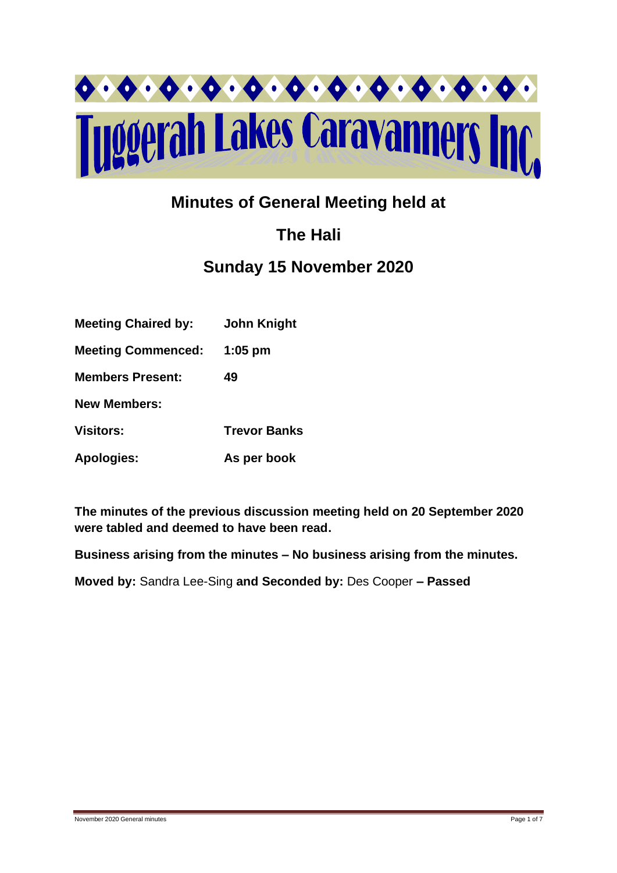

## **Minutes of General Meeting held at**

# **The Hali**

## **Sunday 15 November 2020**

| <b>Meeting Chaired by:</b> | <b>John Knight</b>  |
|----------------------------|---------------------|
| <b>Meeting Commenced:</b>  | $1:05$ pm           |
| <b>Members Present:</b>    | 49                  |
| <b>New Members:</b>        |                     |
| <b>Visitors:</b>           | <b>Trevor Banks</b> |
| <b>Apologies:</b>          | As per book         |

**The minutes of the previous discussion meeting held on 20 September 2020 were tabled and deemed to have been read.**

**Business arising from the minutes – No business arising from the minutes.**

**Moved by:** Sandra Lee-Sing **and Seconded by:** Des Cooper **– Passed**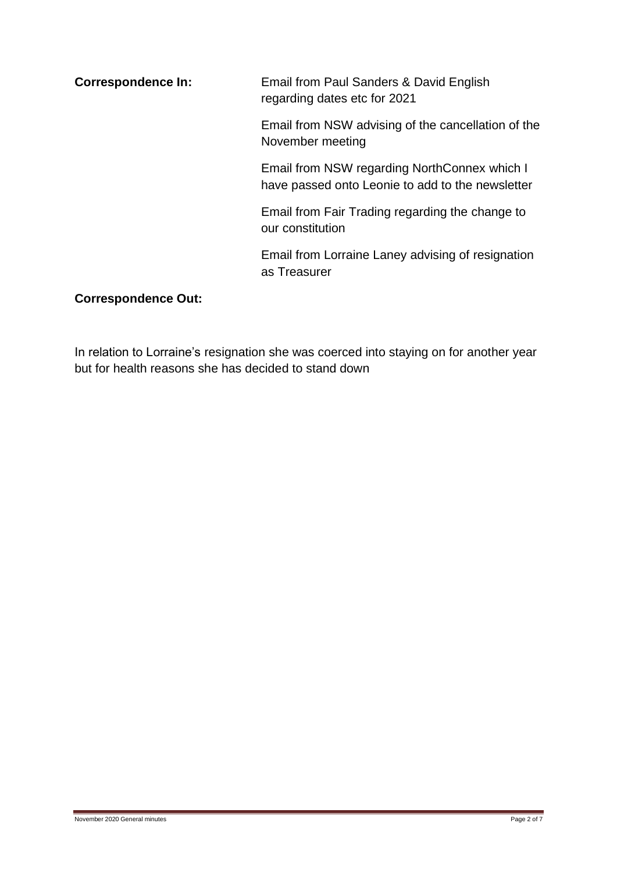**Correspondence In:** Email from Paul Sanders & David English regarding dates etc for 2021 Email from NSW advising of the cancellation of the November meeting Email from NSW regarding NorthConnex which I have passed onto Leonie to add to the newsletter Email from Fair Trading regarding the change to our constitution Email from Lorraine Laney advising of resignation as Treasurer

#### **Correspondence Out:**

In relation to Lorraine's resignation she was coerced into staying on for another year but for health reasons she has decided to stand down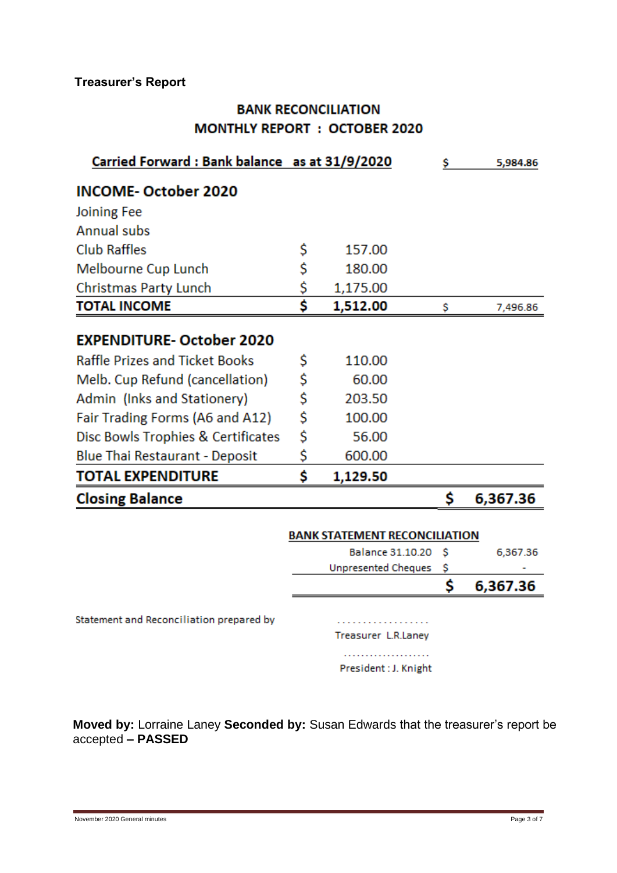### **Treasurer's Report**

### **BANK RECONCILIATION MONTHLY REPORT : OCTOBER 2020**

| Carried Forward: Bank balance as at 31/9/2020 |                         |                                      |    | 5,984.86 |
|-----------------------------------------------|-------------------------|--------------------------------------|----|----------|
| <b>INCOME-October 2020</b>                    |                         |                                      |    |          |
| Joining Fee                                   |                         |                                      |    |          |
| Annual subs                                   |                         |                                      |    |          |
| <b>Club Raffles</b>                           | \$                      | 157.00                               |    |          |
| Melbourne Cup Lunch                           | \$                      | 180.00                               |    |          |
| Christmas Party Lunch                         | <u>\$</u>               | 1,175.00                             |    |          |
| <b>TOTAL INCOME</b>                           | Ś                       | 1,512.00                             | \$ | 7,496.86 |
| <b>EXPENDITURE-October 2020</b>               |                         |                                      |    |          |
| <b>Raffle Prizes and Ticket Books</b>         | \$                      | 110.00                               |    |          |
| Melb. Cup Refund (cancellation)               | \$                      | 60.00                                |    |          |
| Admin (Inks and Stationery)                   | \$                      | 203.50                               |    |          |
| Fair Trading Forms (A6 and A12)               | \$                      | 100.00                               |    |          |
| Disc Bowls Trophies & Certificates            | \$                      | 56.00                                |    |          |
| <b>Blue Thai Restaurant - Deposit</b>         | \$                      | 600.00                               |    |          |
| <b>TOTAL EXPENDITURE</b>                      | \$                      | 1,129.50                             |    |          |
| <b>Closing Balance</b>                        |                         |                                      | \$ | 6,367.36 |
|                                               |                         | <b>BANK STATEMENT RECONCILIATION</b> |    |          |
|                                               | <b>Balance 31.10.20</b> |                                      | \$ | 6,367.36 |
|                                               |                         | <b>Unpresented Cheques</b>           | \$ |          |
|                                               |                         |                                      | Ś  | 6,367.36 |
| Statement and Reconciliation prepared by      |                         | Treasurer L.R.Laney                  |    |          |
|                                               |                         |                                      |    |          |

President: J. Knight

**Moved by:** Lorraine Laney **Seconded by:** Susan Edwards that the treasurer's report be accepted **– PASSED**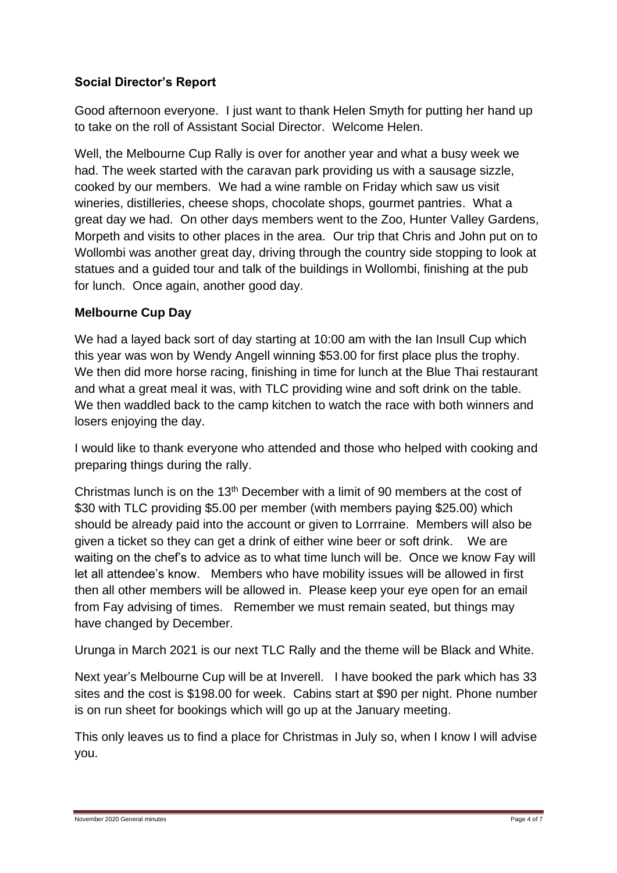#### **Social Director's Report**

Good afternoon everyone. I just want to thank Helen Smyth for putting her hand up to take on the roll of Assistant Social Director. Welcome Helen.

Well, the Melbourne Cup Rally is over for another year and what a busy week we had. The week started with the caravan park providing us with a sausage sizzle, cooked by our members. We had a wine ramble on Friday which saw us visit wineries, distilleries, cheese shops, chocolate shops, gourmet pantries. What a great day we had. On other days members went to the Zoo, Hunter Valley Gardens, Morpeth and visits to other places in the area. Our trip that Chris and John put on to Wollombi was another great day, driving through the country side stopping to look at statues and a guided tour and talk of the buildings in Wollombi, finishing at the pub for lunch. Once again, another good day.

#### **Melbourne Cup Day**

We had a layed back sort of day starting at 10:00 am with the Ian Insull Cup which this year was won by Wendy Angell winning \$53.00 for first place plus the trophy. We then did more horse racing, finishing in time for lunch at the Blue Thai restaurant and what a great meal it was, with TLC providing wine and soft drink on the table. We then waddled back to the camp kitchen to watch the race with both winners and losers enjoying the day.

I would like to thank everyone who attended and those who helped with cooking and preparing things during the rally.

Christmas lunch is on the 13<sup>th</sup> December with a limit of 90 members at the cost of \$30 with TLC providing \$5.00 per member (with members paying \$25.00) which should be already paid into the account or given to Lorrraine. Members will also be given a ticket so they can get a drink of either wine beer or soft drink. We are waiting on the chef's to advice as to what time lunch will be. Once we know Fay will let all attendee's know. Members who have mobility issues will be allowed in first then all other members will be allowed in. Please keep your eye open for an email from Fay advising of times. Remember we must remain seated, but things may have changed by December.

Urunga in March 2021 is our next TLC Rally and the theme will be Black and White.

Next year's Melbourne Cup will be at Inverell. I have booked the park which has 33 sites and the cost is \$198.00 for week. Cabins start at \$90 per night. Phone number is on run sheet for bookings which will go up at the January meeting.

This only leaves us to find a place for Christmas in July so, when I know I will advise you.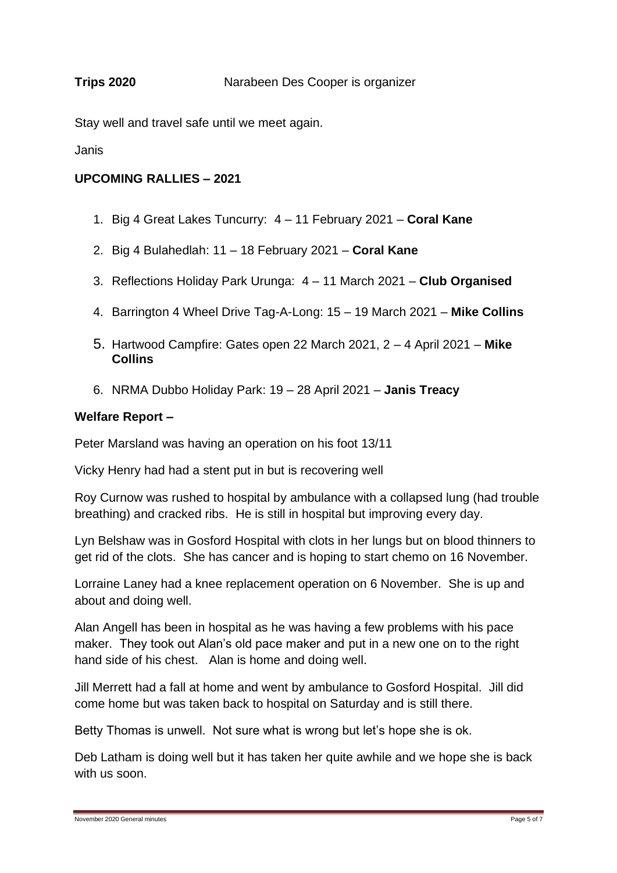#### **Trips 2020** Narabeen Des Cooper is organizer

Stay well and travel safe until we meet again.

Janis

#### **UPCOMING RALLIES – 2021**

- 1. Big 4 Great Lakes Tuncurry: 4 11 February 2021 **Coral Kane**
- 2. Big 4 Bulahedlah: 11 18 February 2021 **Coral Kane**
- 3. Reflections Holiday Park Urunga: 4 11 March 2021 **Club Organised**
- 4. Barrington 4 Wheel Drive Tag-A-Long: 15 19 March 2021 **Mike Collins**
- 5. Hartwood Campfire: Gates open 22 March 2021, 2 4 April 2021 **Mike Collins**
- 6. NRMA Dubbo Holiday Park: 19 28 April 2021 **Janis Treacy**

#### **Welfare Report –**

Peter Marsland was having an operation on his foot 13/11

Vicky Henry had had a stent put in but is recovering well

Roy Curnow was rushed to hospital by ambulance with a collapsed lung (had trouble breathing) and cracked ribs. He is still in hospital but improving every day.

Lyn Belshaw was in Gosford Hospital with clots in her lungs but on blood thinners to get rid of the clots. She has cancer and is hoping to start chemo on 16 November.

Lorraine Laney had a knee replacement operation on 6 November. She is up and about and doing well.

Alan Angell has been in hospital as he was having a few problems with his pace maker. They took out Alan's old pace maker and put in a new one on to the right hand side of his chest. Alan is home and doing well.

Jill Merrett had a fall at home and went by ambulance to Gosford Hospital. Jill did come home but was taken back to hospital on Saturday and is still there.

Betty Thomas is unwell. Not sure what is wrong but let's hope she is ok.

Deb Latham is doing well but it has taken her quite awhile and we hope she is back with us soon.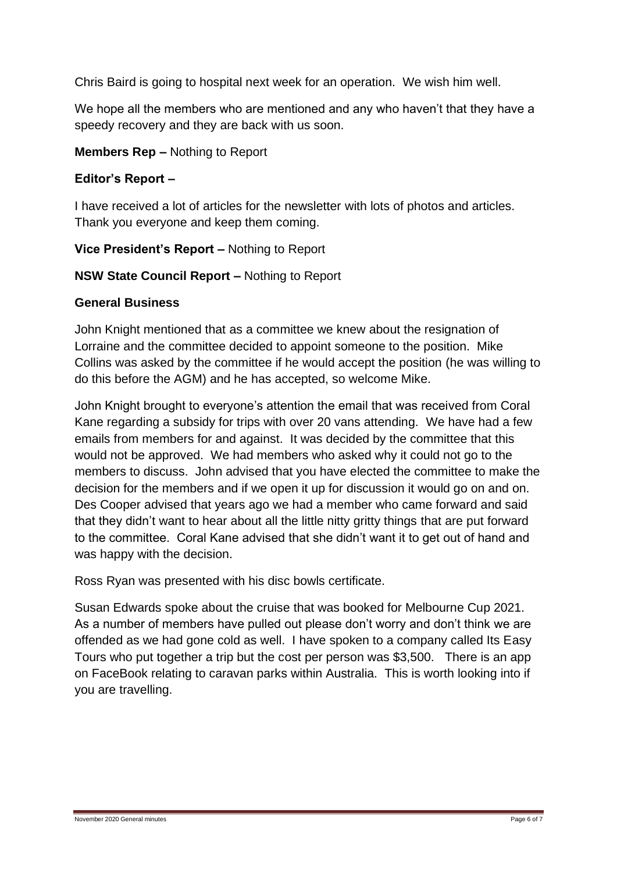Chris Baird is going to hospital next week for an operation. We wish him well.

We hope all the members who are mentioned and any who haven't that they have a speedy recovery and they are back with us soon.

#### **Members Rep –** Nothing to Report

#### **Editor's Report –**

I have received a lot of articles for the newsletter with lots of photos and articles. Thank you everyone and keep them coming.

#### **Vice President's Report –** Nothing to Report

#### **NSW State Council Report –** Nothing to Report

#### **General Business**

John Knight mentioned that as a committee we knew about the resignation of Lorraine and the committee decided to appoint someone to the position. Mike Collins was asked by the committee if he would accept the position (he was willing to do this before the AGM) and he has accepted, so welcome Mike.

John Knight brought to everyone's attention the email that was received from Coral Kane regarding a subsidy for trips with over 20 vans attending. We have had a few emails from members for and against. It was decided by the committee that this would not be approved. We had members who asked why it could not go to the members to discuss. John advised that you have elected the committee to make the decision for the members and if we open it up for discussion it would go on and on. Des Cooper advised that years ago we had a member who came forward and said that they didn't want to hear about all the little nitty gritty things that are put forward to the committee. Coral Kane advised that she didn't want it to get out of hand and was happy with the decision.

Ross Ryan was presented with his disc bowls certificate.

Susan Edwards spoke about the cruise that was booked for Melbourne Cup 2021. As a number of members have pulled out please don't worry and don't think we are offended as we had gone cold as well. I have spoken to a company called Its Easy Tours who put together a trip but the cost per person was \$3,500. There is an app on FaceBook relating to caravan parks within Australia. This is worth looking into if you are travelling.